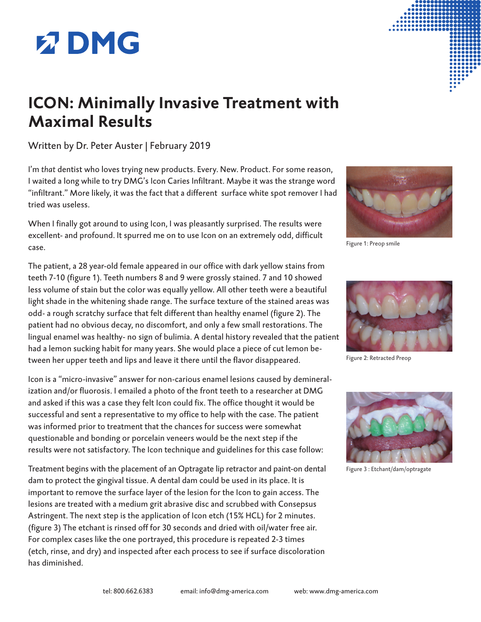## **Z DMG**

## **ICON: Minimally Invasive Treatment with Maximal Results**

Written by Dr. Peter Auster | February 2019

I'm *that* dentist who loves trying new products. Every. New. Product. For some reason, I waited a long while to try DMG's Icon Caries Infiltrant. Maybe it was the strange word "infiltrant." More likely, it was the fact that a different surface white spot remover I had tried was useless.

When I finally got around to using Icon, I was pleasantly surprised. The results were excellent- and profound. It spurred me on to use Icon on an extremely odd, difficult case.

The patient, a 28 year-old female appeared in our office with dark yellow stains from teeth 7-10 (figure 1). Teeth numbers 8 and 9 were grossly stained. 7 and 10 showed less volume of stain but the color was equally yellow. All other teeth were a beautiful light shade in the whitening shade range. The surface texture of the stained areas was odd- a rough scratchy surface that felt different than healthy enamel (figure 2). The patient had no obvious decay, no discomfort, and only a few small restorations. The lingual enamel was healthy- no sign of bulimia. A dental history revealed that the patient had a lemon sucking habit for many years. She would place a piece of cut lemon between her upper teeth and lips and leave it there until the flavor disappeared.

Icon is a "micro-invasive" answer for non-carious enamel lesions caused by demineralization and/or fluorosis. I emailed a photo of the front teeth to a researcher at DMG and asked if this was a case they felt Icon could fix. The office thought it would be successful and sent a representative to my office to help with the case. The patient was informed prior to treatment that the chances for success were somewhat questionable and bonding or porcelain veneers would be the next step if the results were not satisfactory. The Icon technique and guidelines for this case follow:

Treatment begins with the placement of an Optragate lip retractor and paint-on dental dam to protect the gingival tissue. A dental dam could be used in its place. It is important to remove the surface layer of the lesion for the Icon to gain access. The lesions are treated with a medium grit abrasive disc and scrubbed with Consepsus Astringent. The next step is the application of Icon etch (15% HCL) for 2 minutes. (figure 3) The etchant is rinsed off for 30 seconds and dried with oil/water free air. For complex cases like the one portrayed, this procedure is repeated 2-3 times (etch, rinse, and dry) and inspected after each process to see if surface discoloration has diminished.



Figure 1: Preop smile



Figure 2: Retracted Preop



Figure 3 : Etchant/dam/optragate